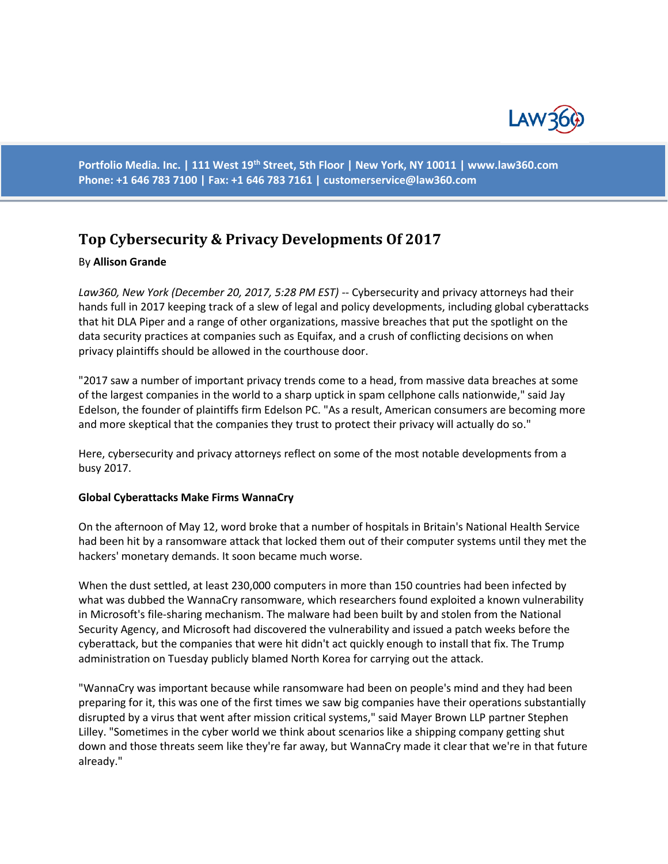

**Portfolio Media. Inc. | 111 West 19th Street, 5th Floor | New York, NY 10011 | www.law360.com Phone: +1 646 783 7100 | Fax: +1 646 783 7161 | [customerservice@law360.com](mailto:customerservice@law360.com)**

# **Top Cybersecurity & Privacy Developments Of 2017**

#### By **Allison Grande**

Law360, New York (December 20, 2017, 5:28 PM EST) -- Cybersecurity and privacy attorneys had their hands full in 2017 keeping track of a slew of legal and policy developments, including global cyberattacks that hit DLA Piper and a range of other organizations, massive breaches that put the spotlight on the data security practices at companies such as Equifax, and a crush of conflicting decisions on when privacy plaintiffs should be allowed in the courthouse door.

"2017 saw a number of important privacy trends come to a head, from massive data breaches at some of the largest companies in the world to a sharp uptick in spam cellphone calls nationwide," said Jay Edelson, the founder of plaintiffs firm Edelson PC. "As a result, American consumers are becoming more and more skeptical that the companies they trust to protect their privacy will actually do so."

Here, cybersecurity and privacy attorneys reflect on some of the most notable developments from a busy 2017.

#### **Global Cyberattacks Make Firms WannaCry**

On the afternoon of May 12, word broke that a number of hospitals in Britain's National Health Service had been hit by a ransomware attack that locked them out of their computer systems until they met the hackers' monetary demands. It soon became much worse.

When the dust settled, at least 230,000 computers in more than 150 countries had been infected by what was dubbed the WannaCry ransomware, which researchers found exploited a known vulnerability in Microsoft's file-sharing mechanism. The malware had been built by and stolen from the National Security Agency, and Microsoft had discovered the vulnerability and issued a patch weeks before the cyberattack, but the companies that were hit didn't act quickly enough to install that fix. The Trump administration on Tuesday publicly blamed North Korea for carrying out the attack.

"WannaCry was important because while ransomware had been on people's mind and they had been preparing for it, this was one of the first times we saw big companies have their operations substantially disrupted by a virus that went after mission critical systems," said Mayer Brown LLP partner Stephen Lilley. "Sometimes in the cyber world we think about scenarios like a shipping company getting shut down and those threats seem like they're far away, but WannaCry made it clear that we're in that future already."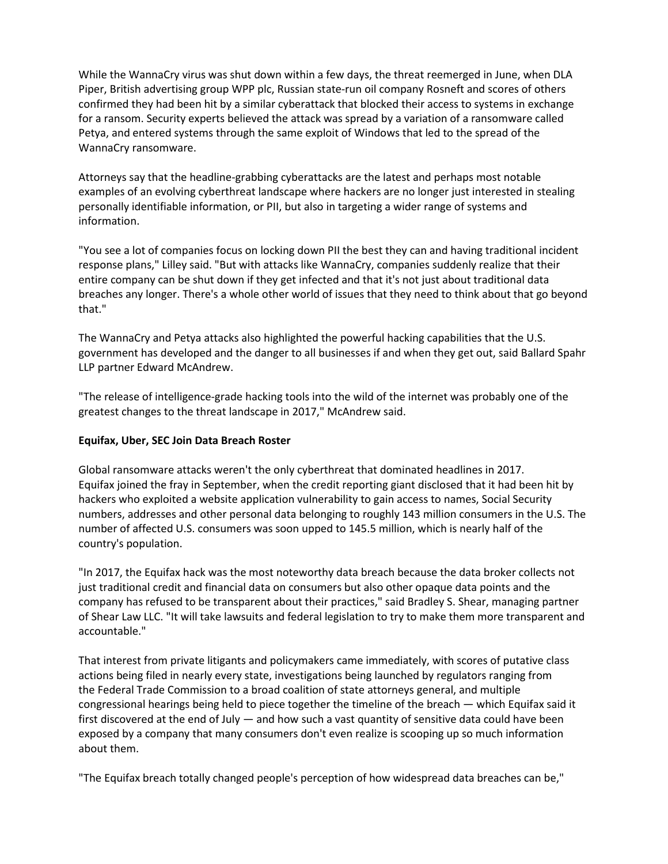While the WannaCry virus was shut down within a few days, the threat reemerged in June, when DLA Piper, British advertising group WPP plc, Russian state-run oil company Rosneft and scores of others confirmed they had been hit by a similar cyberattack that blocked their access to systems in exchange for a ransom. Security experts believed the attack was spread by a variation of a ransomware called Petya, and entered systems through the same exploit of Windows that led to the spread of the WannaCry ransomware.

Attorneys say that the headline-grabbing cyberattacks are the latest and perhaps most notable examples of an evolving cyberthreat landscape where hackers are no longer just interested in stealing personally identifiable information, or PII, but also in targeting a wider range of systems and information.

"You see a lot of companies focus on locking down PII the best they can and having traditional incident response plans," Lilley said. "But with attacks like WannaCry, companies suddenly realize that their entire company can be shut down if they get infected and that it's not just about traditional data breaches any longer. There's a whole other world of issues that they need to think about that go beyond that."

The WannaCry and Petya attacks also highlighted the powerful hacking capabilities that the U.S. government has developed and the danger to all businesses if and when they get out, said Ballard Spahr LLP partner Edward McAndrew.

"The release of intelligence-grade hacking tools into the wild of the internet was probably one of the greatest changes to the threat landscape in 2017," McAndrew said.

## **Equifax, Uber, SEC Join Data Breach Roster**

Global ransomware attacks weren't the only cyberthreat that dominated headlines in 2017. Equifax joined the fray in September, when the credit reporting giant disclosed that it had been hit by hackers who exploited a website application vulnerability to gain access to names, Social Security numbers, addresses and other personal data belonging to roughly 143 million consumers in the U.S. The number of affected U.S. consumers was soon upped to 145.5 million, which is nearly half of the country's population.

"In 2017, the Equifax hack was the most noteworthy data breach because the data broker collects not just traditional credit and financial data on consumers but also other opaque data points and the company has refused to be transparent about their practices," said Bradley S. Shear, managing partner of Shear Law LLC. "It will take lawsuits and federal legislation to try to make them more transparent and accountable."

That interest from private litigants and policymakers came immediately, with scores of putative class actions being filed in nearly every state, investigations being launched by regulators ranging from the Federal Trade Commission to a broad coalition of state attorneys general, and multiple congressional hearings being held to piece together the timeline of the breach — which Equifax said it first discovered at the end of July — and how such a vast quantity of sensitive data could have been exposed by a company that many consumers don't even realize is scooping up so much information about them.

"The Equifax breach totally changed people's perception of how widespread data breaches can be,"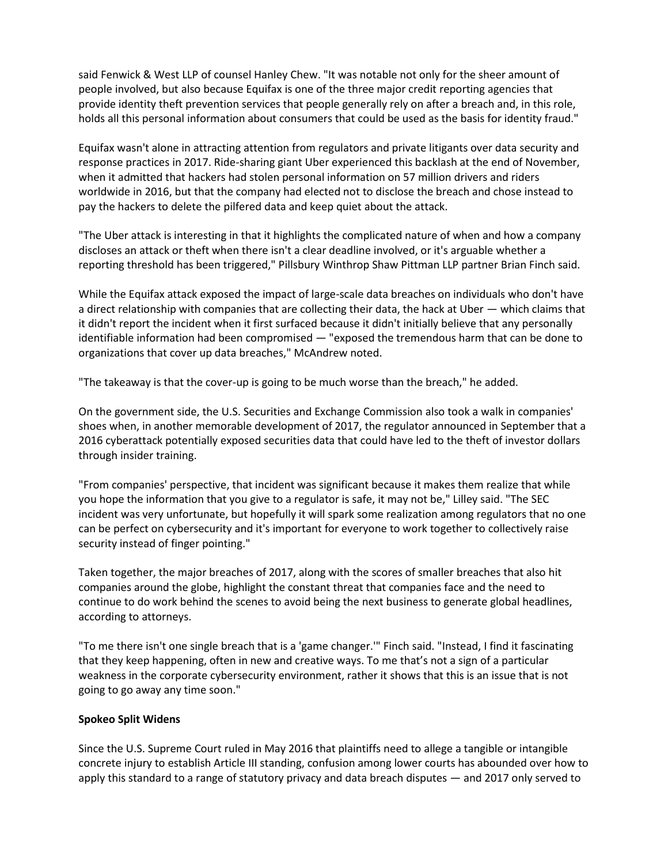said Fenwick & West LLP of counsel Hanley Chew. "It was notable not only for the sheer amount of people involved, but also because Equifax is one of the three major credit reporting agencies that provide identity theft prevention services that people generally rely on after a breach and, in this role, holds all this personal information about consumers that could be used as the basis for identity fraud."

Equifax wasn't alone in attracting attention from regulators and private litigants over data security and response practices in 2017. Ride-sharing giant Uber experienced this backlash at the end of November, when it admitted that hackers had stolen personal information on 57 million drivers and riders worldwide in 2016, but that the company had elected not to disclose the breach and chose instead to pay the hackers to delete the pilfered data and keep quiet about the attack.

"The Uber attack is interesting in that it highlights the complicated nature of when and how a company discloses an attack or theft when there isn't a clear deadline involved, or it's arguable whether a reporting threshold has been triggered," Pillsbury Winthrop Shaw Pittman LLP partner Brian Finch said.

While the Equifax attack exposed the impact of large-scale data breaches on individuals who don't have a direct relationship with companies that are collecting their data, the hack at Uber — which claims that it didn't report the incident when it first surfaced because it didn't initially believe that any personally identifiable information had been compromised — "exposed the tremendous harm that can be done to organizations that cover up data breaches," McAndrew noted.

"The takeaway is that the cover-up is going to be much worse than the breach," he added.

On the government side, the U.S. Securities and Exchange Commission also took a walk in companies' shoes when, in another memorable development of 2017, the regulator announced in September that a 2016 cyberattack potentially exposed securities data that could have led to the theft of investor dollars through insider training.

"From companies' perspective, that incident was significant because it makes them realize that while you hope the information that you give to a regulator is safe, it may not be," Lilley said. "The SEC incident was very unfortunate, but hopefully it will spark some realization among regulators that no one can be perfect on cybersecurity and it's important for everyone to work together to collectively raise security instead of finger pointing."

Taken together, the major breaches of 2017, along with the scores of smaller breaches that also hit companies around the globe, highlight the constant threat that companies face and the need to continue to do work behind the scenes to avoid being the next business to generate global headlines, according to attorneys.

"To me there isn't one single breach that is a 'game changer.'" Finch said. "Instead, I find it fascinating that they keep happening, often in new and creative ways. To me that's not a sign of a particular weakness in the corporate cybersecurity environment, rather it shows that this is an issue that is not going to go away any time soon."

## **Spokeo Split Widens**

Since the U.S. Supreme Court ruled in May 2016 that plaintiffs need to allege a tangible or intangible concrete injury to establish Article III standing, confusion among lower courts has abounded over how to apply this standard to a range of statutory privacy and data breach disputes — and 2017 only served to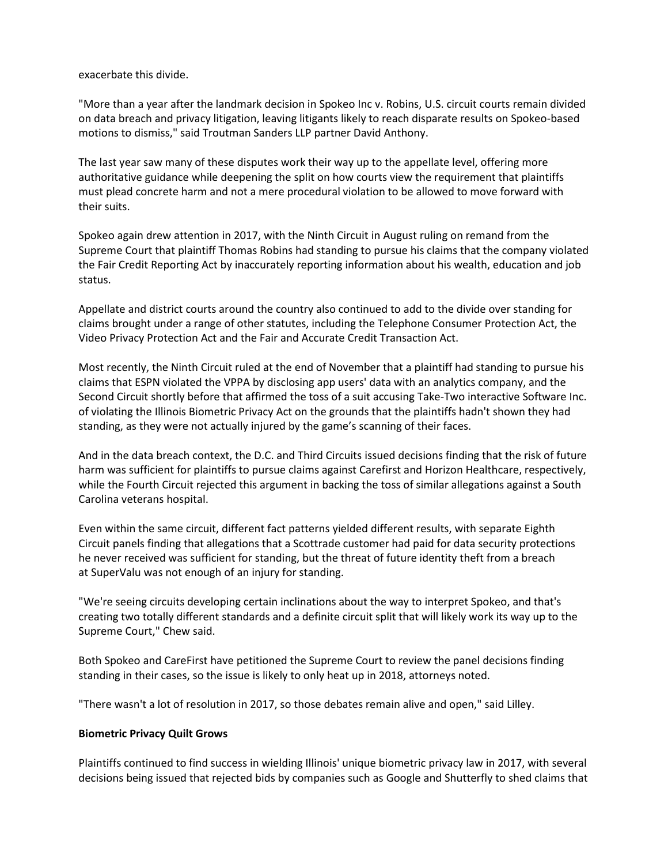exacerbate this divide.

"More than a year after the landmark decision in Spokeo Inc v. Robins, U.S. circuit courts remain divided on data breach and privacy litigation, leaving litigants likely to reach disparate results on Spokeo-based motions to dismiss," said Troutman Sanders LLP partner David Anthony.

The last year saw many of these disputes work their way up to the appellate level, offering more authoritative guidance while deepening the split on how courts view the requirement that plaintiffs must plead concrete harm and not a mere procedural violation to be allowed to move forward with their suits.

Spokeo again drew attention in 2017, with the Ninth Circuit in August ruling on remand from the Supreme Court that plaintiff Thomas Robins had standing to pursue his claims that the company violated the Fair Credit Reporting Act by inaccurately reporting information about his wealth, education and job status.

Appellate and district courts around the country also continued to add to the divide over standing for claims brought under a range of other statutes, including the Telephone Consumer Protection Act, the Video Privacy Protection Act and the Fair and Accurate Credit Transaction Act.

Most recently, the Ninth Circuit ruled at the end of November that a plaintiff had standing to pursue his claims that ESPN violated the VPPA by disclosing app users' data with an analytics company, and the Second Circuit shortly before that affirmed the toss of a suit accusing Take-Two interactive Software Inc. of violating the Illinois Biometric Privacy Act on the grounds that the plaintiffs hadn't shown they had standing, as they were not actually injured by the game's scanning of their faces.

And in the data breach context, the D.C. and Third Circuits issued decisions finding that the risk of future harm was sufficient for plaintiffs to pursue claims against Carefirst and Horizon Healthcare, respectively, while the Fourth Circuit rejected this argument in backing the toss of similar allegations against a South Carolina veterans hospital.

Even within the same circuit, different fact patterns yielded different results, with separate Eighth Circuit panels finding that allegations that a Scottrade customer had paid for data security protections he never received was sufficient for standing, but the threat of future identity theft from a breach at SuperValu was not enough of an injury for standing.

"We're seeing circuits developing certain inclinations about the way to interpret Spokeo, and that's creating two totally different standards and a definite circuit split that will likely work its way up to the Supreme Court," Chew said.

Both Spokeo and CareFirst have petitioned the Supreme Court to review the panel decisions finding standing in their cases, so the issue is likely to only heat up in 2018, attorneys noted.

"There wasn't a lot of resolution in 2017, so those debates remain alive and open," said Lilley.

## **Biometric Privacy Quilt Grows**

Plaintiffs continued to find success in wielding Illinois' unique biometric privacy law in 2017, with several decisions being issued that rejected bids by companies such as Google and Shutterfly to shed claims that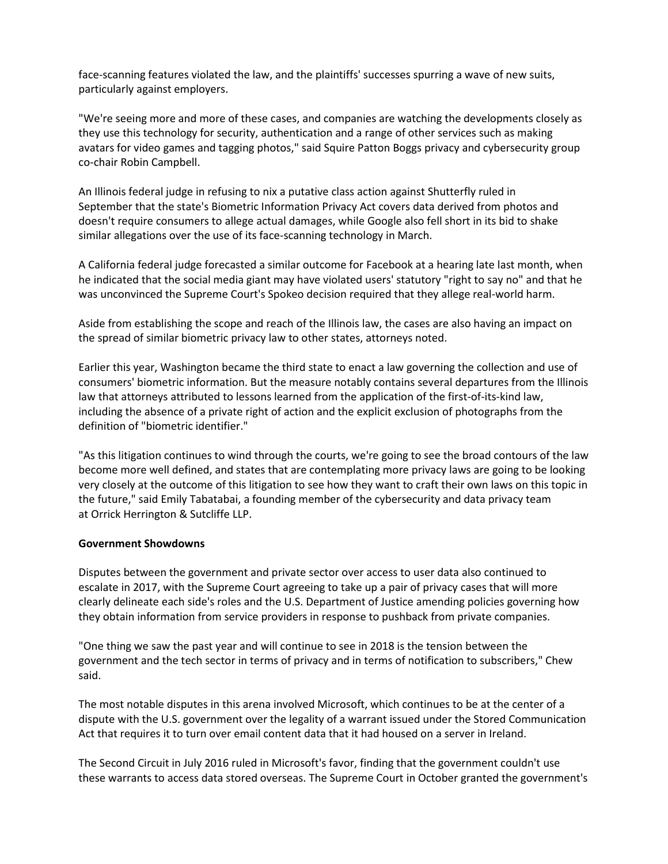face-scanning features violated the law, and the plaintiffs' successes spurring a wave of new suits, particularly against employers.

"We're seeing more and more of these cases, and companies are watching the developments closely as they use this technology for security, authentication and a range of other services such as making avatars for video games and tagging photos," said Squire Patton Boggs privacy and cybersecurity group co-chair Robin Campbell.

An Illinois federal judge in refusing to nix a putative class action against Shutterfly ruled in September that the state's Biometric Information Privacy Act covers data derived from photos and doesn't require consumers to allege actual damages, while Google also fell short in its bid to shake similar allegations over the use of its face-scanning technology in March.

A California federal judge forecasted a similar outcome for Facebook at a hearing late last month, when he indicated that the social media giant may have violated users' statutory "right to say no" and that he was unconvinced the Supreme Court's Spokeo decision required that they allege real-world harm.

Aside from establishing the scope and reach of the Illinois law, the cases are also having an impact on the spread of similar biometric privacy law to other states, attorneys noted.

Earlier this year, Washington became the third state to enact a law governing the collection and use of consumers' biometric information. But the measure notably contains several departures from the Illinois law that attorneys attributed to lessons learned from the application of the first-of-its-kind law, including the absence of a private right of action and the explicit exclusion of photographs from the definition of "biometric identifier."

"As this litigation continues to wind through the courts, we're going to see the broad contours of the law become more well defined, and states that are contemplating more privacy laws are going to be looking very closely at the outcome of this litigation to see how they want to craft their own laws on this topic in the future," said Emily Tabatabai, a founding member of the cybersecurity and data privacy team at Orrick Herrington & Sutcliffe LLP.

#### **Government Showdowns**

Disputes between the government and private sector over access to user data also continued to escalate in 2017, with the Supreme Court agreeing to take up a pair of privacy cases that will more clearly delineate each side's roles and the U.S. Department of Justice amending policies governing how they obtain information from service providers in response to pushback from private companies.

"One thing we saw the past year and will continue to see in 2018 is the tension between the government and the tech sector in terms of privacy and in terms of notification to subscribers," Chew said.

The most notable disputes in this arena involved Microsoft, which continues to be at the center of a dispute with the U.S. government over the legality of a warrant issued under the Stored Communication Act that requires it to turn over email content data that it had housed on a server in Ireland.

The Second Circuit in July 2016 ruled in Microsoft's favor, finding that the government couldn't use these warrants to access data stored overseas. The Supreme Court in October granted the government's